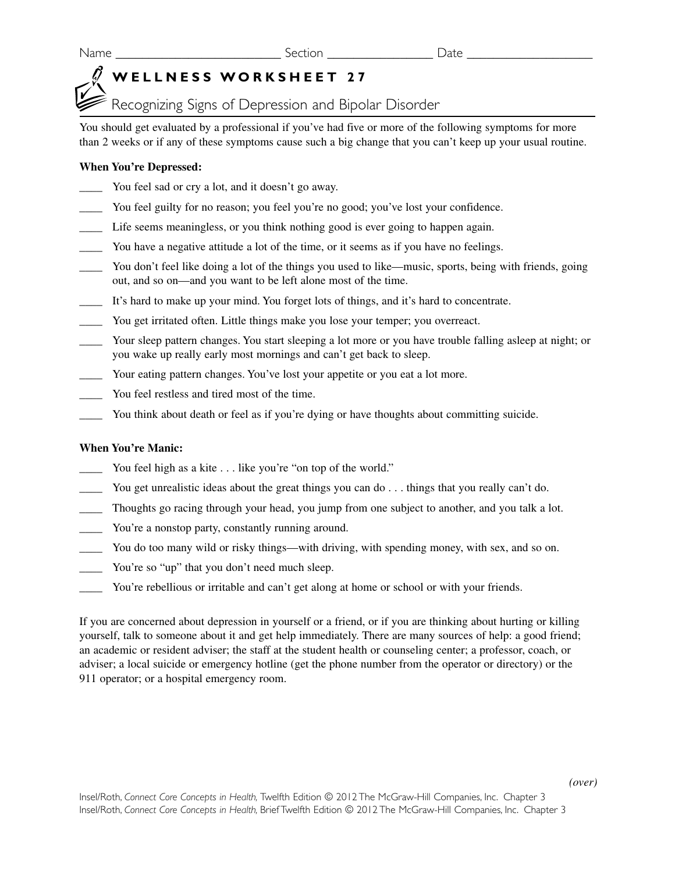Name \_\_\_\_\_\_\_\_\_\_\_\_\_\_\_\_\_\_\_\_\_\_\_\_\_ Section \_\_\_\_\_\_\_\_\_\_\_\_\_\_\_\_ Date \_\_\_\_\_\_\_\_\_\_\_\_\_\_\_\_\_\_\_

## **WELLNESS WORKSHEET 27**

Recognizing Signs of Depression and Bipolar Disorder

You should get evaluated by a professional if you've had five or more of the following symptoms for more than 2 weeks or if any of these symptoms cause such a big change that you can't keep up your usual routine.

## **When You're Depressed:**

- \_\_\_\_ You feel sad or cry a lot, and it doesn't go away.
- You feel guilty for no reason; you feel you're no good; you've lost your confidence.
- \_\_\_\_ Life seems meaningless, or you think nothing good is ever going to happen again.
- You have a negative attitude a lot of the time, or it seems as if you have no feelings.
- \_\_\_\_ You don't feel like doing a lot of the things you used to like—music, sports, being with friends, going out, and so on—and you want to be left alone most of the time.
- \_\_\_\_ It's hard to make up your mind. You forget lots of things, and it's hard to concentrate.
- \_\_\_\_ You get irritated often. Little things make you lose your temper; you overreact.
- Your sleep pattern changes. You start sleeping a lot more or you have trouble falling asleep at night; or you wake up really early most mornings and can't get back to sleep.
- \_\_\_\_ Your eating pattern changes. You've lost your appetite or you eat a lot more.
- \_\_\_\_ You feel restless and tired most of the time.
- You think about death or feel as if you're dying or have thoughts about committing suicide.

## **When You're Manic:**

- You feel high as a kite . . . like you're "on top of the world."
- You get unrealistic ideas about the great things you can do . . . things that you really can't do.
- \_\_\_\_ Thoughts go racing through your head, you jump from one subject to another, and you talk a lot.
- \_\_\_\_ You're a nonstop party, constantly running around.
- You do too many wild or risky things—with driving, with spending money, with sex, and so on.
- You're so "up" that you don't need much sleep.
- You're rebellious or irritable and can't get along at home or school or with your friends.

If you are concerned about depression in yourself or a friend, or if you are thinking about hurting or killing yourself, talk to someone about it and get help immediately. There are many sources of help: a good friend; an academic or resident adviser; the staff at the student health or counseling center; a professor, coach, or adviser; a local suicide or emergency hotline (get the phone number from the operator or directory) or the 911 operator; or a hospital emergency room.